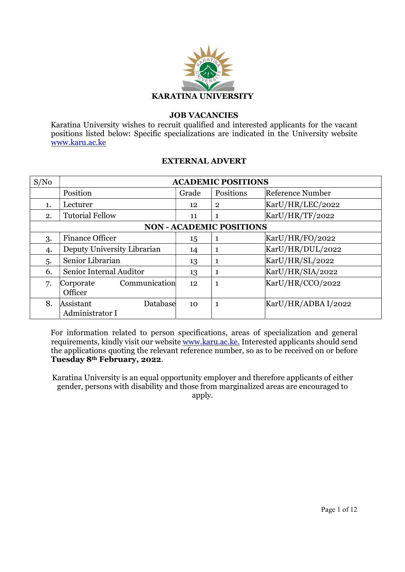

### JOB VACANCIES

Karatina University wishes to recruit qualified and interested applicants for the vacant positions listed below: Specific specializations are indicated in the University website www.karu.ac.ke

#### EXTERNAL ADVERT

| S/No                            | <b>ACADEMIC POSITIONS</b>   |       |                |                     |
|---------------------------------|-----------------------------|-------|----------------|---------------------|
|                                 | Position                    | Grade | Positions      | Reference Number    |
| 1.                              | Lecturer                    | 12    | $\overline{2}$ | KarU/HR/LEC/2022    |
| 2.                              | <b>Tutorial Fellow</b>      | 11    | 1              | KarU/HR/TF/2022     |
| <b>NON - ACADEMIC POSITIONS</b> |                             |       |                |                     |
| 3.                              | <b>Finance Officer</b>      | 15    | 1              | KarU/HR/FO/2022     |
| 4.                              | Deputy University Librarian | 14    | 1              | KarU/HR/DUL/2022    |
| 5.                              | Senior Librarian            | 13    | 1              | KarU/HR/SL/2022     |
| 6.                              | Senior Internal Auditor     | 13    | 1              | KarU/HR/SIA/2022    |
| 7.                              | Communication<br>Corporate  | 12    | $\mathbf{1}$   | KarU/HR/CCO/2022    |
|                                 | Officer                     |       |                |                     |
| 8.                              | Assistant<br>Database       | 10    | 1              | KarU/HR/ADBA I/2022 |
|                                 | Administrator I             |       |                |                     |

For information related to person specifications, areas of specialization and general requirements, kindly visit our website www.karu.ac.ke. Interested applicants should send the applications quoting the relevant reference number, so as to be received on or before Tuesday 8th February, 2022.

Karatina University is an equal opportunity employer and therefore applicants of either gender, persons with disability and those from marginalized areas are encouraged to apply.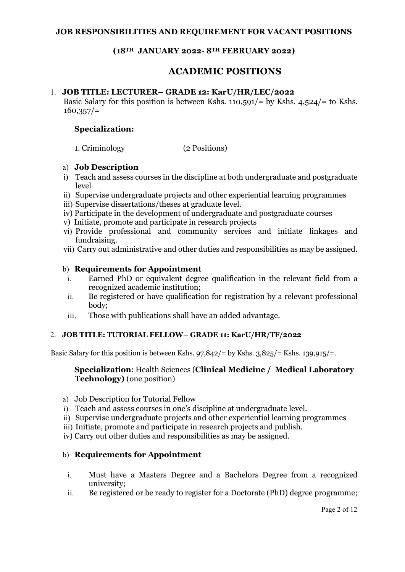## (18TH JANUARY 2022- 8TH FEBRUARY 2022)

# ACADEMIC POSITIONS

### 1. JOB TITLE: LECTURER– GRADE 12: KarU/HR/LEC/2022

Basic Salary for this position is between Kshs.  $110,591/$  by Kshs.  $4,524/$  to Kshs.  $160,357/=$ 

### Specialization:

1. Criminology (2 Positions)

### a) Job Description

- i) Teach and assess courses in the discipline at both undergraduate and postgraduate level
- ii) Supervise undergraduate projects and other experiential learning programmes
- iii) Supervise dissertations/theses at graduate level.
- iv) Participate in the development of undergraduate and postgraduate courses
- v) Initiate, promote and participate in research projects
- vi) Provide professional and community services and initiate linkages and fundraising.
- vii) Carry out administrative and other duties and responsibilities as may be assigned.

### b) Requirements for Appointment

- i. Earned PhD or equivalent degree qualification in the relevant field from a recognized academic institution;
- ii. Be registered or have qualification for registration by a relevant professional body;
- iii. Those with publications shall have an added advantage.

### 2. JOB TITLE: TUTORIAL FELLOW– GRADE 11: KarU/HR/TF/2022

Basic Salary for this position is between Kshs.  $97,842/$  by Kshs.  $3,825/$  = Kshs.  $139,915/$  =.

### Specialization: Health Sciences (Clinical Medicine / Medical Laboratory Technology) (one position)

- a) Job Description for Tutorial Fellow
- i) Teach and assess courses in one's discipline at undergraduate level.
- ii) Supervise undergraduate projects and other experiential learning programmes
- iii) Initiate, promote and participate in research projects and publish.
- iv) Carry out other duties and responsibilities as may be assigned.

### b) Requirements for Appointment

- i. Must have a Masters Degree and a Bachelors Degree from a recognized university;
- ii. Be registered or be ready to register for a Doctorate (PhD) degree programme;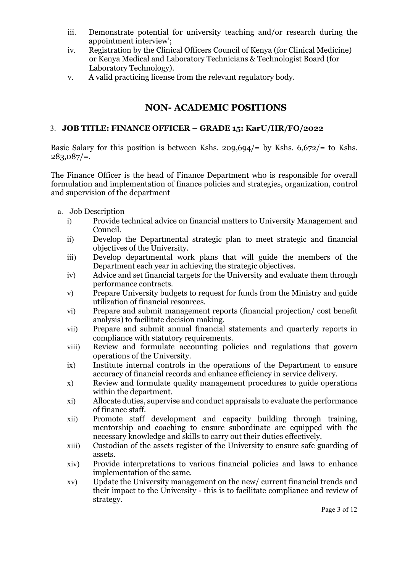- iii. Demonstrate potential for university teaching and/or research during the appointment interview';
- iv. Registration by the Clinical Officers Council of Kenya (for Clinical Medicine) or Kenya Medical and Laboratory Technicians & Technologist Board (for Laboratory Technology).
- v. A valid practicing license from the relevant regulatory body.

# NON- ACADEMIC POSITIONS

## 3. JOB TITLE: FINANCE OFFICER – GRADE 15: KarU/HR/FO/2022

Basic Salary for this position is between Kshs.  $209.694/$  by Kshs.  $6.672/$  to Kshs.  $283,087/=$ .

The Finance Officer is the head of Finance Department who is responsible for overall formulation and implementation of finance policies and strategies, organization, control and supervision of the department

- a. Job Description
	- i) Provide technical advice on financial matters to University Management and Council.
	- ii) Develop the Departmental strategic plan to meet strategic and financial objectives of the University.
	- iii) Develop departmental work plans that will guide the members of the Department each year in achieving the strategic objectives.
	- iv) Advice and set financial targets for the University and evaluate them through performance contracts.
	- v) Prepare University budgets to request for funds from the Ministry and guide utilization of financial resources.
	- vi) Prepare and submit management reports (financial projection/ cost benefit analysis) to facilitate decision making.
	- vii) Prepare and submit annual financial statements and quarterly reports in compliance with statutory requirements.
	- viii) Review and formulate accounting policies and regulations that govern operations of the University.
	- ix) Institute internal controls in the operations of the Department to ensure accuracy of financial records and enhance efficiency in service delivery.
	- x) Review and formulate quality management procedures to guide operations within the department.
	- xi) Allocate duties, supervise and conduct appraisals to evaluate the performance of finance staff.
	- xii) Promote staff development and capacity building through training, mentorship and coaching to ensure subordinate are equipped with the necessary knowledge and skills to carry out their duties effectively.
	- xiii) Custodian of the assets register of the University to ensure safe guarding of assets.
	- xiv) Provide interpretations to various financial policies and laws to enhance implementation of the same.
	- xv) Update the University management on the new/ current financial trends and their impact to the University - this is to facilitate compliance and review of strategy.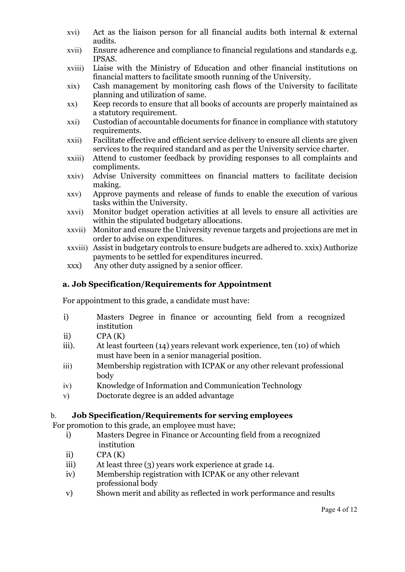- xvi) Act as the liaison person for all financial audits both internal & external audits.
- xvii) Ensure adherence and compliance to financial regulations and standards e.g. IPSAS.
- xviii) Liaise with the Ministry of Education and other financial institutions on financial matters to facilitate smooth running of the University.
- xix) Cash management by monitoring cash flows of the University to facilitate planning and utilization of same.
- xx) Keep records to ensure that all books of accounts are properly maintained as a statutory requirement.
- xxi) Custodian of accountable documents for finance in compliance with statutory requirements.
- xxii) Facilitate effective and efficient service delivery to ensure all clients are given services to the required standard and as per the University service charter.
- xxiii) Attend to customer feedback by providing responses to all complaints and compliments.
- xxiv) Advise University committees on financial matters to facilitate decision making.
- xxv) Approve payments and release of funds to enable the execution of various tasks within the University.
- xxvi) Monitor budget operation activities at all levels to ensure all activities are within the stipulated budgetary allocations.
- xxvii) Monitor and ensure the University revenue targets and projections are met in order to advise on expenditures.
- xxviii) Assist in budgetary controls to ensure budgets are adhered to. xxix) Authorize payments to be settled for expenditures incurred.
- xxx) Any other duty assigned by a senior officer.

## a. Job Specification/Requirements for Appointment

For appointment to this grade, a candidate must have:

- i) Masters Degree in finance or accounting field from a recognized institution
- ii)  $CPA(K)$
- iii). At least fourteen (14) years relevant work experience, ten (10) of which must have been in a senior managerial position.
- iii) Membership registration with ICPAK or any other relevant professional body
- iv) Knowledge of Information and Communication Technology
- v) Doctorate degree is an added advantage

## b. Job Specification/Requirements for serving employees

For promotion to this grade, an employee must have;

- i) Masters Degree in Finance or Accounting field from a recognized institution
- ii)  $CPA(K)$
- iii) At least three (3) years work experience at grade 14.
- iv) Membership registration with ICPAK or any other relevant professional body
- v) Shown merit and ability as reflected in work performance and results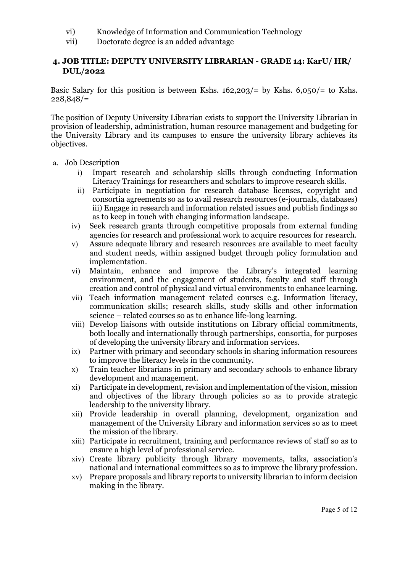- vi) Knowledge of Information and Communication Technology
- vii) Doctorate degree is an added advantage

## 4. JOB TITLE: DEPUTY UNIVERSITY LIBRARIAN - GRADE 14: KarU/ HR/ DUL/2022

Basic Salary for this position is between Kshs.  $162,203/=$  by Kshs.  $6,050/=$  to Kshs.  $228.848/=$ 

The position of Deputy University Librarian exists to support the University Librarian in provision of leadership, administration, human resource management and budgeting for the University Library and its campuses to ensure the university library achieves its objectives.

- a. Job Description
	- i) Impart research and scholarship skills through conducting Information Literacy Trainings for researchers and scholars to improve research skills.
	- ii) Participate in negotiation for research database licenses, copyright and consortia agreements so as to avail research resources (e-journals, databases) iii) Engage in research and information related issues and publish findings so as to keep in touch with changing information landscape.
	- iv) Seek research grants through competitive proposals from external funding agencies for research and professional work to acquire resources for research.
	- v) Assure adequate library and research resources are available to meet faculty and student needs, within assigned budget through policy formulation and implementation.
	- vi) Maintain, enhance and improve the Library's integrated learning environment, and the engagement of students, faculty and staff through creation and control of physical and virtual environments to enhance learning.
	- vii) Teach information management related courses e.g. Information literacy, communication skills; research skills, study skills and other information science – related courses so as to enhance life-long learning.
	- viii) Develop liaisons with outside institutions on Library official commitments, both locally and internationally through partnerships, consortia, for purposes of developing the university library and information services.
	- ix) Partner with primary and secondary schools in sharing information resources to improve the literacy levels in the community.
	- x) Train teacher librarians in primary and secondary schools to enhance library development and management.
	- xi) Participate in development, revision and implementation of the vision, mission and objectives of the library through policies so as to provide strategic leadership to the university library.
	- xii) Provide leadership in overall planning, development, organization and management of the University Library and information services so as to meet the mission of the library.
	- xiii) Participate in recruitment, training and performance reviews of staff so as to ensure a high level of professional service.
	- xiv) Create library publicity through library movements, talks, association's national and international committees so as to improve the library profession.
	- xv) Prepare proposals and library reports to university librarian to inform decision making in the library.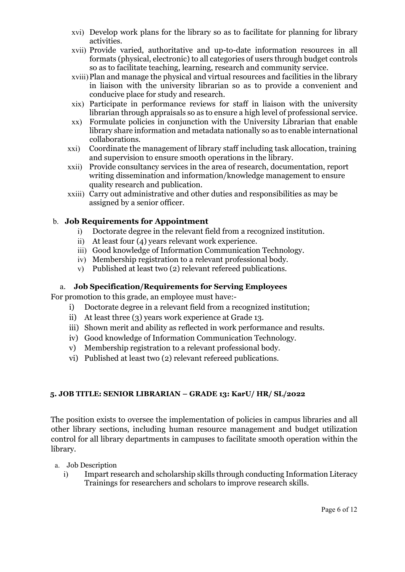- xvi) Develop work plans for the library so as to facilitate for planning for library activities.
- xvii) Provide varied, authoritative and up-to-date information resources in all formats (physical, electronic) to all categories of users through budget controls so as to facilitate teaching, learning, research and community service.
- xviii)Plan and manage the physical and virtual resources and facilities in the library in liaison with the university librarian so as to provide a convenient and conducive place for study and research.
- xix) Participate in performance reviews for staff in liaison with the university librarian through appraisals so as to ensure a high level of professional service.
- xx) Formulate policies in conjunction with the University Librarian that enable library share information and metadata nationally so as to enable international collaborations.
- xxi) Coordinate the management of library staff including task allocation, training and supervision to ensure smooth operations in the library.
- xxii) Provide consultancy services in the area of research, documentation, report writing dissemination and information/knowledge management to ensure quality research and publication.
- xxiii) Carry out administrative and other duties and responsibilities as may be assigned by a senior officer.

## b. Job Requirements for Appointment

- i) Doctorate degree in the relevant field from a recognized institution.
- ii) At least four (4) years relevant work experience.
- iii) Good knowledge of Information Communication Technology.
- iv) Membership registration to a relevant professional body.
- v) Published at least two (2) relevant refereed publications.

## a. Job Specification/Requirements for Serving Employees

For promotion to this grade, an employee must have:-

- i) Doctorate degree in a relevant field from a recognized institution;
- ii) At least three (3) years work experience at Grade 13.
- iii) Shown merit and ability as reflected in work performance and results.
- iv) Good knowledge of Information Communication Technology.
- v) Membership registration to a relevant professional body.
- vi) Published at least two (2) relevant refereed publications.

## 5. JOB TITLE: SENIOR LIBRARIAN – GRADE 13: KarU/ HR/ SL/2022

The position exists to oversee the implementation of policies in campus libraries and all other library sections, including human resource management and budget utilization control for all library departments in campuses to facilitate smooth operation within the library.

- a. Job Description
	- i) Impart research and scholarship skills through conducting Information Literacy Trainings for researchers and scholars to improve research skills.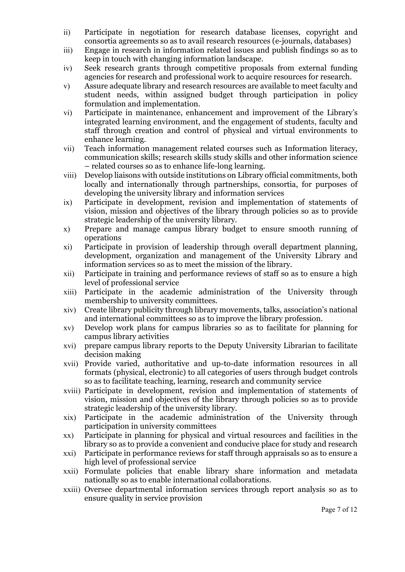- ii) Participate in negotiation for research database licenses, copyright and consortia agreements so as to avail research resources (e-journals, databases)
- iii) Engage in research in information related issues and publish findings so as to keep in touch with changing information landscape.
- iv) Seek research grants through competitive proposals from external funding agencies for research and professional work to acquire resources for research.
- v) Assure adequate library and research resources are available to meet faculty and student needs, within assigned budget through participation in policy formulation and implementation.
- vi) Participate in maintenance, enhancement and improvement of the Library's integrated learning environment, and the engagement of students, faculty and staff through creation and control of physical and virtual environments to enhance learning.
- vii) Teach information management related courses such as Information literacy, communication skills; research skills study skills and other information science – related courses so as to enhance life-long learning.
- viii) Develop liaisons with outside institutions on Library official commitments, both locally and internationally through partnerships, consortia, for purposes of developing the university library and information services
- ix) Participate in development, revision and implementation of statements of vision, mission and objectives of the library through policies so as to provide strategic leadership of the university library.
- x) Prepare and manage campus library budget to ensure smooth running of operations
- xi) Participate in provision of leadership through overall department planning, development, organization and management of the University Library and information services so as to meet the mission of the library.
- xii) Participate in training and performance reviews of staff so as to ensure a high level of professional service
- xiii) Participate in the academic administration of the University through membership to university committees.
- xiv) Create library publicity through library movements, talks, association's national and international committees so as to improve the library profession.
- xv) Develop work plans for campus libraries so as to facilitate for planning for campus library activities
- xvi) prepare campus library reports to the Deputy University Librarian to facilitate decision making
- xvii) Provide varied, authoritative and up-to-date information resources in all formats (physical, electronic) to all categories of users through budget controls so as to facilitate teaching, learning, research and community service
- xviii) Participate in development, revision and implementation of statements of vision, mission and objectives of the library through policies so as to provide strategic leadership of the university library.
- xix) Participate in the academic administration of the University through participation in university committees
- xx) Participate in planning for physical and virtual resources and facilities in the library so as to provide a convenient and conducive place for study and research
- xxi) Participate in performance reviews for staff through appraisals so as to ensure a high level of professional service
- xxii) Formulate policies that enable library share information and metadata nationally so as to enable international collaborations.
- xxiii) Oversee departmental information services through report analysis so as to ensure quality in service provision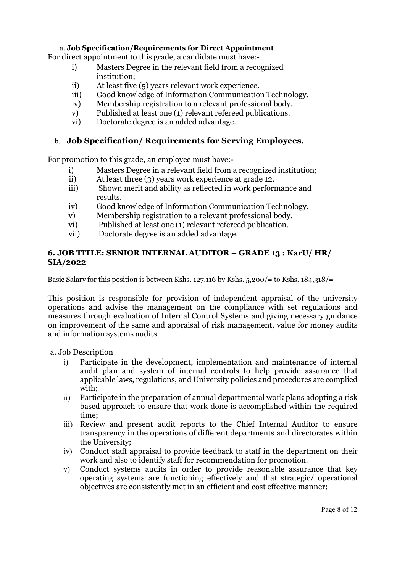### a. Job Specification/Requirements for Direct Appointment

For direct appointment to this grade, a candidate must have:-

- i) Masters Degree in the relevant field from a recognized institution;
- ii) At least five (5) years relevant work experience.
- iii) Good knowledge of Information Communication Technology.
- iv) Membership registration to a relevant professional body.
- v) Published at least one (1) relevant refereed publications.
- vi) Doctorate degree is an added advantage.

## b. Job Specification/ Requirements for Serving Employees.

For promotion to this grade, an employee must have:-

- i) Masters Degree in a relevant field from a recognized institution;
- ii) At least three (3) years work experience at grade 12.
- iii) Shown merit and ability as reflected in work performance and results.
- iv) Good knowledge of Information Communication Technology.
- v) Membership registration to a relevant professional body.
- vi) Published at least one (1) relevant refereed publication.
- vii) Doctorate degree is an added advantage.

### 6. JOB TITLE: SENIOR INTERNAL AUDITOR – GRADE 13 : KarU/ HR/ SIA/2022

Basic Salary for this position is between Kshs. 127,116 by Kshs.  $5,200/$ = to Kshs.  $184,318/$ =

This position is responsible for provision of independent appraisal of the university operations and advise the management on the compliance with set regulations and measures through evaluation of Internal Control Systems and giving necessary guidance on improvement of the same and appraisal of risk management, value for money audits and information systems audits

a. Job Description

- i) Participate in the development, implementation and maintenance of internal audit plan and system of internal controls to help provide assurance that applicable laws, regulations, and University policies and procedures are complied with;
- ii) Participate in the preparation of annual departmental work plans adopting a risk based approach to ensure that work done is accomplished within the required time;
- iii) Review and present audit reports to the Chief Internal Auditor to ensure transparency in the operations of different departments and directorates within the University;
- iv) Conduct staff appraisal to provide feedback to staff in the department on their work and also to identify staff for recommendation for promotion.
- v) Conduct systems audits in order to provide reasonable assurance that key operating systems are functioning effectively and that strategic/ operational objectives are consistently met in an efficient and cost effective manner;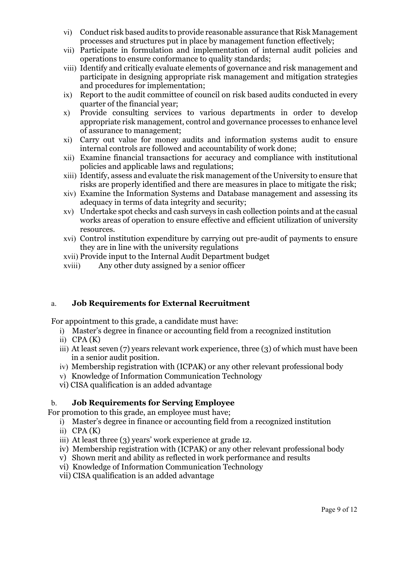- vi) Conduct risk based audits to provide reasonable assurance that Risk Management processes and structures put in place by management function effectively;
- vii) Participate in formulation and implementation of internal audit policies and operations to ensure conformance to quality standards;
- viii) Identify and critically evaluate elements of governance and risk management and participate in designing appropriate risk management and mitigation strategies and procedures for implementation;
- ix) Report to the audit committee of council on risk based audits conducted in every quarter of the financial year;
- x) Provide consulting services to various departments in order to develop appropriate risk management, control and governance processes to enhance level of assurance to management;
- xi) Carry out value for money audits and information systems audit to ensure internal controls are followed and accountability of work done;
- xii) Examine financial transactions for accuracy and compliance with institutional policies and applicable laws and regulations;
- xiii) Identify, assess and evaluate the risk management of the University to ensure that risks are properly identified and there are measures in place to mitigate the risk;
- xiv) Examine the Information Systems and Database management and assessing its adequacy in terms of data integrity and security;
- xv) Undertake spot checks and cash surveys in cash collection points and at the casual works areas of operation to ensure effective and efficient utilization of university resources.
- xvi) Control institution expenditure by carrying out pre-audit of payments to ensure they are in line with the university regulations
- xvii) Provide input to the Internal Audit Department budget
- xviii) Any other duty assigned by a senior officer

## a. Job Requirements for External Recruitment

For appointment to this grade, a candidate must have:

- i) Master's degree in finance or accounting field from a recognized institution
- $i)$  CPA $(K)$
- iii) At least seven (7) years relevant work experience, three (3) of which must have been in a senior audit position.
- iv) Membership registration with (ICPAK) or any other relevant professional body
- v) Knowledge of Information Communication Technology
- vi) CISA qualification is an added advantage

## b. Job Requirements for Serving Employee

For promotion to this grade, an employee must have;

- i) Master's degree in finance or accounting field from a recognized institution
- $ii)$  CPA $(K)$
- iii) At least three (3) years' work experience at grade 12.
- iv) Membership registration with (ICPAK) or any other relevant professional body
- v) Shown merit and ability as reflected in work performance and results
- vi) Knowledge of Information Communication Technology
- vii) CISA qualification is an added advantage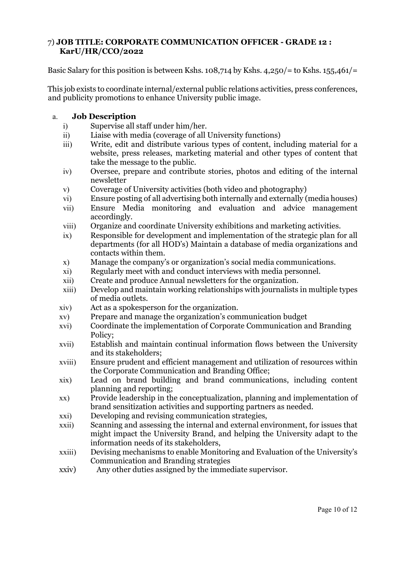## 7) JOB TITLE: CORPORATE COMMUNICATION OFFICER - GRADE 12 : KarU/HR/CCO/2022

Basic Salary for this position is between Kshs. 108,714 by Kshs.  $4,250/$ = to Kshs. 155,461/=

This job exists to coordinate internal/external public relations activities, press conferences, and publicity promotions to enhance University public image.

## a. Job Description

- i) Supervise all staff under him/her.
- ii) Liaise with media (coverage of all University functions)
- iii) Write, edit and distribute various types of content, including material for a website, press releases, marketing material and other types of content that take the message to the public.
- iv) Oversee, prepare and contribute stories, photos and editing of the internal newsletter
- v) Coverage of University activities (both video and photography)
- vi) Ensure posting of all advertising both internally and externally (media houses) vii) Ensure Media monitoring and evaluation and advice management
- accordingly.
- viii) Organize and coordinate University exhibitions and marketing activities.
- ix) Responsible for development and implementation of the strategic plan for all departments (for all HOD's) Maintain a database of media organizations and contacts within them.
- x) Manage the company's or organization's social media communications.
- xi) Regularly meet with and conduct interviews with media personnel.
- xii) Create and produce Annual newsletters for the organization.
- xiii) Develop and maintain working relationships with journalists in multiple types of media outlets.
- xiv) Act as a spokesperson for the organization.
- xv) Prepare and manage the organization's communication budget
- xvi) Coordinate the implementation of Corporate Communication and Branding Policy;
- xvii) Establish and maintain continual information flows between the University and its stakeholders;
- xviii) Ensure prudent and efficient management and utilization of resources within the Corporate Communication and Branding Office;
- xix) Lead on brand building and brand communications, including content planning and reporting;
- xx) Provide leadership in the conceptualization, planning and implementation of brand sensitization activities and supporting partners as needed.
- xxi) Developing and revising communication strategies,
- xxii) Scanning and assessing the internal and external environment, for issues that might impact the University Brand, and helping the University adapt to the information needs of its stakeholders,
- xxiii) Devising mechanisms to enable Monitoring and Evaluation of the University's Communication and Branding strategies
- xxiv) Any other duties assigned by the immediate supervisor.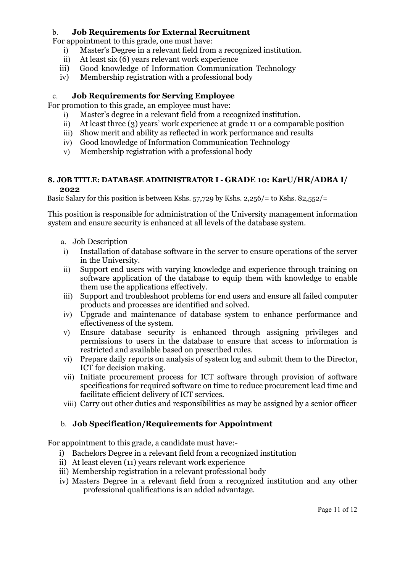## b. Job Requirements for External Recruitment

For appointment to this grade, one must have:

- i) Master's Degree in a relevant field from a recognized institution.
- ii) At least six (6) years relevant work experience
- iii) Good knowledge of Information Communication Technology
- iv) Membership registration with a professional body

### c. Job Requirements for Serving Employee

For promotion to this grade, an employee must have:

- i) Master's degree in a relevant field from a recognized institution.
- ii) At least three (3) years' work experience at grade 11 or a comparable position
- iii) Show merit and ability as reflected in work performance and results
- iv) Good knowledge of Information Communication Technology
- v) Membership registration with a professional body

#### 8. JOB TITLE: DATABASE ADMINISTRATOR I - GRADE 10: KarU/HR/ADBA I/ 2022

Basic Salary for this position is between Kshs. 57,729 by Kshs. 2,256/ $=$  to Kshs. 82,552/ $=$ 

This position is responsible for administration of the University management information system and ensure security is enhanced at all levels of the database system.

- a. Job Description
- i) Installation of database software in the server to ensure operations of the server in the University.
- ii) Support end users with varying knowledge and experience through training on software application of the database to equip them with knowledge to enable them use the applications effectively.
- iii) Support and troubleshoot problems for end users and ensure all failed computer products and processes are identified and solved.
- iv) Upgrade and maintenance of database system to enhance performance and effectiveness of the system.
- v) Ensure database security is enhanced through assigning privileges and permissions to users in the database to ensure that access to information is restricted and available based on prescribed rules.
- vi) Prepare daily reports on analysis of system log and submit them to the Director, ICT for decision making.
- vii) Initiate procurement process for ICT software through provision of software specifications for required software on time to reduce procurement lead time and facilitate efficient delivery of ICT services.
- viii) Carry out other duties and responsibilities as may be assigned by a senior officer

### b. Job Specification/Requirements for Appointment

For appointment to this grade, a candidate must have:-

- i) Bachelors Degree in a relevant field from a recognized institution
- ii) At least eleven (11) years relevant work experience
- iii) Membership registration in a relevant professional body
- iv) Masters Degree in a relevant field from a recognized institution and any other professional qualifications is an added advantage.